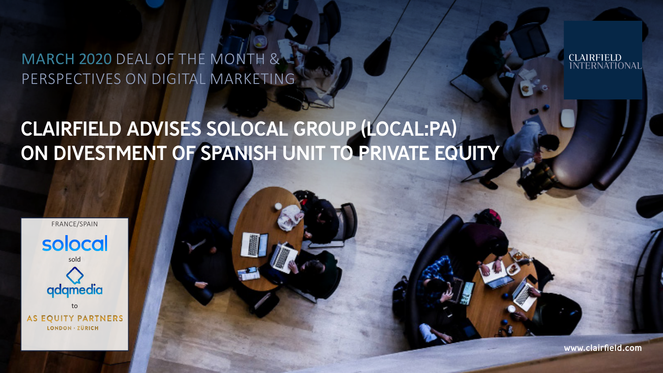MARCH 2020 DEAL OF THE MONTH & PERSPECTIVES ON DIGITAL MARKETING

# CLAIRFIELD ADVISES SOLOCAL GROUP (LOCAL:PA) ON DIVESTMENT OF SPANISH UNIT TO PRIVATE EQUITY



www.clairfield.com

**CLAIRFIELD<br>INTERNATIONAL**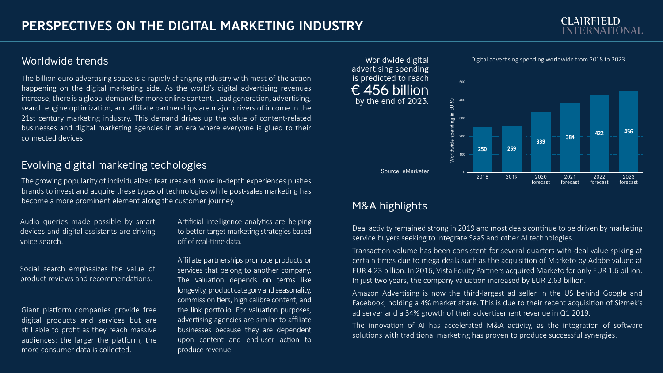# **CLAIRFIELD**

#### Worldwide trends Worldwide digital

The billion euro advertising space is a rapidly changing industry with most of the action happening on the digital marketing side. As the world's digital advertising revenues increase, there is a global demand for more online content. Lead generation, advertising, search engine optimization, and affiliate partnerships are major drivers of income in the 21st century marketing industry. This demand drives up the value of content-related businesses and digital marketing agencies in an era where everyone is glued to their connected devices.

#### Evolving digital marketing techologies

The growing popularity of individualized features and more in-depth experiences pushes brands to invest and acquire these types of technologies while post-sales marketing has become a more prominent element along the customer journey.

Audio queries made possible by smart devices and digital assistants are driving voice search.

Social search emphasizes the value of product reviews and recommendations.

Giant platform companies provide free digital products and services but are still able to profit as they reach massive audiences: the larger the platform, the more consumer data is collected.

Artificial intelligence analytics are helping to better target marketing strategies based off of real-time data.

Affiliate partnerships promote products or services that belong to another company. The valuation depends on terms like longevity, product category and seasonality, commission tiers, high calibre content, and the link portfolio. For valuation purposes, advertising agencies are similar to affiliate businesses because they are dependent upon content and end-user action to produce revenue.

advertising spending is predicted to reach  $\overline{\epsilon}$  456 billion by the end of 2023.



### M&A highlights

Deal activity remained strong in 2019 and most deals continue to be driven by marketing service buyers seeking to integrate SaaS and other AI technologies.

Transaction volume has been consistent for several quarters with deal value spiking at certain times due to mega deals such as the acquisition of Marketo by Adobe valued at EUR 4.23 billion. In 2016, Vista Equity Partners acquired Marketo for only EUR 1.6 billion. In just two years, the company valuation increased by EUR 2.63 billion.

Amazon Advertising is now the third-largest ad seller in the US behind Google and Facebook, holding a 4% market share. This is due to their recent acquisition of Sizmek's ad server and a 34% growth of their advertisement revenue in Q1 2019.

The innovation of AI has accelerated M&A activity, as the integration of software solutions with traditional marketing has proven to produce successful synergies.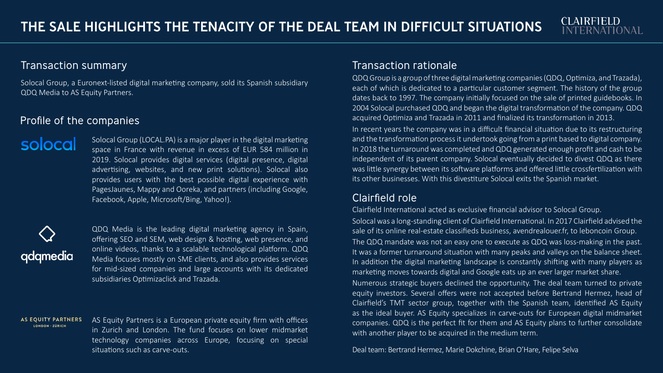#### Transaction summary Transaction rationale

Solocal Group, a Euronext-listed digital marketing company, sold its Spanish subsidiary QDQ Media to AS Equity Partners.

#### Profile of the companies

Solocal Group (LOCAL.PA) is a major player in the digital marketing solocal space in France with revenue in excess of EUR 584 million in 2019. Solocal provides digital services (digital presence, digital advertising, websites, and new print solutions). Solocal also provides users with the best possible digital experience with PagesJaunes, Mappy and Ooreka, and partners (including Google, Facebook, Apple, Microsoft/Bing, Yahoo!).

# qdqmedia

QDQ Media is the leading digital marketing agency in Spain, offering SEO and SEM, web design & hosting, web presence, and online videos, thanks to a scalable technological platform. QDQ Media focuses mostly on SME clients, and also provides services for mid-sized companies and large accounts with its dedicated subsidiaries Optimizaclick and Trazada.

**AS EQUITY PARTNERS** AS Equity Partners is a European private equity firm with offices LONDON - ZÜRICH in Zurich and London. The fund focuses on lower midmarket technology companies across Europe, focusing on special situations such as carve-outs.

QDQ Group is a group of three digital marketing companies (QDQ, Optimiza, and Trazada), each of which is dedicated to a particular customer segment. The history of the group dates back to 1997. The company initially focused on the sale of printed guidebooks. In 2004 Solocal purchased QDQ and began the digital transformation of the company. QDQ acquired Optimiza and Trazada in 2011 and finalized its transformation in 2013. In recent years the company was in a difficult financial situation due to its restructuring and the transformation process it undertook going from a print based to digital company. In 2018 the turnaround was completed and QDQ generated enough profit and cash to be independent of its parent company. Solocal eventually decided to divest QDQ as there was little synergy between its software platforms and offered little crossfertilization with its other businesses. With this divestiture Solocal exits the Spanish market.

**CLAIRFIELD** 

#### Clairfield role

Clairfield International acted as exclusive financial advisor to Solocal Group. Solocal was a long-standing client of Clairfield International. In 2017 Clairfield advised the sale of its online real-estate classifieds business, avendrealouer.fr, to leboncoin Group. The QDQ mandate was not an easy one to execute as QDQ was loss-making in the past. It was a former turnaround situation with many peaks and valleys on the balance sheet. In addition the digital marketing landscape is constantly shifting with many players as marketing moves towards digital and Google eats up an ever larger market share.

Numerous strategic buyers declined the opportunity. The deal team turned to private equity investors. Several offers were not accepted before Bertrand Hermez, head of Clairfield's TMT sector group, together with the Spanish team, identified AS Equity as the ideal buyer. AS Equity specializes in carve-outs for European digital midmarket companies. QDQ is the perfect fit for them and AS Equity plans to further consolidate with another player to be acquired in the medium term.

Deal team: Bertrand Hermez, Marie Dokchine, Brian O'Hare, Felipe Selva